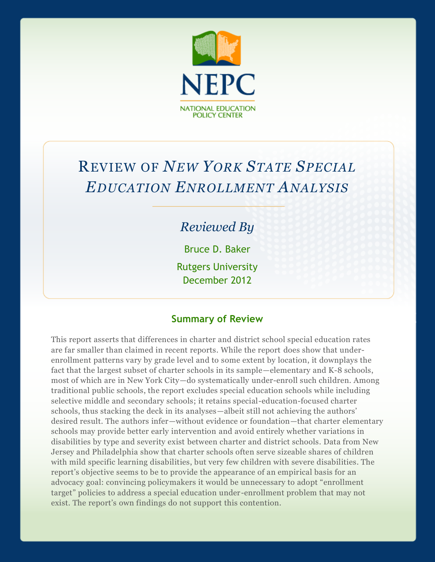

# REVIEW OF *NEW YORK STATE SPECIAL EDUCATION ENROLLMENT ANALYSIS*

# *Reviewed By*

Bruce D. Baker

Rutgers University December 2012

### **Summary of Review**

This report asserts that differences in charter and district school special education rates are far smaller than claimed in recent reports. While the report does show that underenrollment patterns vary by grade level and to some extent by location, it downplays the fact that the largest subset of charter schools in its sample—elementary and K-8 schools, most of which are in New York City—do systematically under-enroll such children. Among traditional public schools, the report excludes special education schools while including selective middle and secondary schools; it retains special-education-focused charter schools, thus stacking the deck in its analyses—albeit still not achieving the authors' desired result. The authors infer—without evidence or foundation—that charter elementary schools may provide better early intervention and avoid entirely whether variations in disabilities by type and severity exist between charter and district schools. Data from New Jersey and Philadelphia show that charter schools often serve sizeable shares of children with mild specific learning disabilities, but very few children with severe disabilities. The report's objective seems to be to provide the appearance of an empirical basis for an advocacy goal: convincing policymakers it would be unnecessary to adopt "enrollment target" policies to address a special education under -enrollment problem that may not exist. The report's own findings do not support this contention.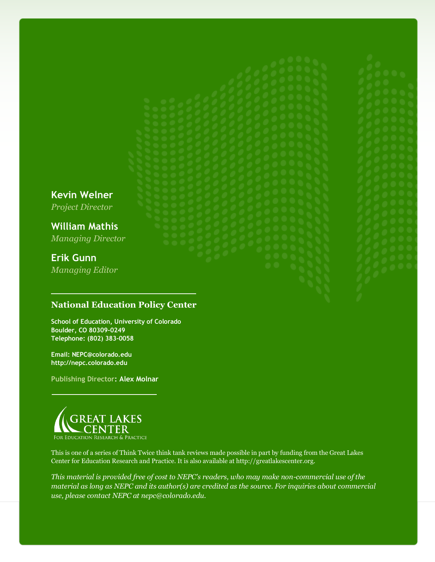**Kevin Welner** *Project Director*

**William Mathis** *Managing Director*

# **Erik Gunn**

*Managing Editor*

### **National Education Policy Center**

**School of Education, University of Colorado Boulder, CO 80309-0249 Telephone: (802) 383-0058**

**Email: NEPC@colorado.edu http://nepc.colorado.edu**

**Publishing Director: Alex Molnar**



This is one of a series of Think Twice think tank reviews made possible in part by funding from the Great Lakes Center for Education Research and Practice. It is also available at http://greatlakescenter.org.

*This material is provided free of cost to NEPC's readers, who may make non-commercial use of the material as long as NEPC and its author(s) are credited as the source. For inquiries about commercial use, please contact NEPC at nepc@colorado.edu.*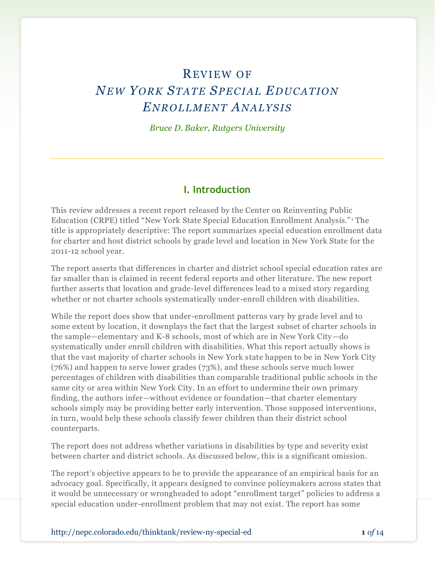# REVIEW OF *NEW YORK STATE SP EC IAL EDUC ATION ENROLLM ENT ANALYS IS*

*Bruce D. Baker, Rutgers University*

#### **I. Introduction**

This review addresses a recent report released by the Center on Reinventing Public Education (CRPE) titled "New York State Special Education Enrollment Analysis." <sup>1</sup> The title is appropriately descriptive: The report summarizes special education enrollment data for charter and host district schools by grade level and location in New York State for the 2011-12 school year.

The report asserts that differences in charter and district school special education rates are far smaller than is claimed in recent federal reports and other literature. The new report further asserts that location and grade-level differences lead to a mixed story regarding whether or not charter schools systematically under-enroll children with disabilities.

While the report does show that under-enrollment patterns vary by grade level and to some extent by location, it downplays the fact that the largest subset of charter schools in the sample—elementary and K-8 schools, most of which are in New York City—do systematically under enroll children with disabilities. What this report actually shows is that the vast majority of charter schools in New York state happen to be in New York City (76%) and happen to serve lower grades (73%), and these schools serve much lower percentages of children with disabilities than comparable traditional public schools in the same city or area within New York City. In an effort to undermine their own primary finding, the authors infer—without evidence or foundation—that charter elementary schools simply may be providing better early intervention. Those supposed interventions, in turn, would help these schools classify fewer children than their district school counterparts.

The report does not address whether variations in disabilities by type and severity exist between charter and district schools. As discussed below, this is a significant omission.

The report's objective appears to be to provide the appearance of an empirical basis for an advocacy goal. Specifically, it appears designed to convince policymakers across states that it would be unnecessary or wrongheaded to adopt "enrollment target" policies to address a special education under-enrollment problem that may not exist. The report has some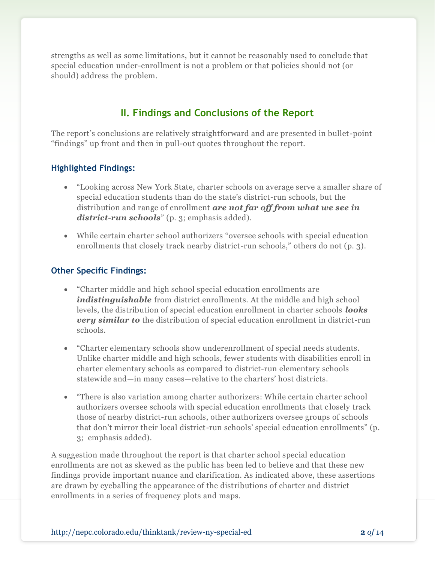strengths as well as some limitations, but it cannot be reasonably used to conclude that special education under-enrollment is not a problem or that policies should not (or should) address the problem.

# **II. Findings and Conclusions of the Report**

The report's conclusions are relatively straightforward and are presented in bullet-point "findings" up front and then in pull-out quotes throughout the report.

#### **Highlighted Findings:**

- "Looking across New York State, charter schools on average serve a smaller share of special education students than do the state's district-run schools, but the distribution and range of enrollment *are not far off from what we see in district-run schools*" (p. 3; emphasis added).
- While certain charter school authorizers "oversee schools with special education enrollments that closely track nearby district-run schools," others do not (p. 3).

#### **Other Specific Findings:**

- "Charter middle and high school special education enrollments are *indistinguishable* from district enrollments. At the middle and high school levels, the distribution of special education enrollment in charter schools *looks very similar to* the distribution of special education enrollment in district-run schools.
- "Charter elementary schools show underenrollment of special needs students. Unlike charter middle and high schools, fewer students with disabilities enroll in charter elementary schools as compared to district-run elementary schools statewide and—in many cases—relative to the charters' host districts.
- "There is also variation among charter authorizers: While certain charter school authorizers oversee schools with special education enrollments that c losely track those of nearby district-run schools, other authorizers oversee groups of schools that don't mirror their local district-run schools' special education enrollments" (p. 3; emphasis added).

A suggestion made throughout the report is that charter school special education enrollments are not as skewed as the public has been led to believe and that these new findings provide important nuance and clarification. As indicated above, these assertions are drawn by eyeballing the appearance of the distributions of charter and district enrollments in a series of frequency plots and maps.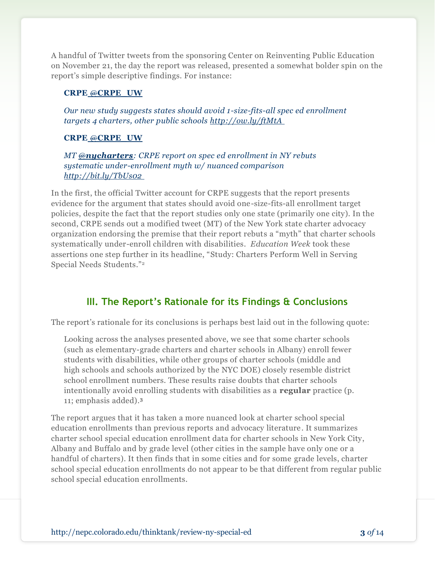A handful of Twitter tweets from the sponsoring Center on Reinventing Public Education on November 21, the day the report was released, presented a somewhat bolder spin on the report's simple descriptive findings. For instance:

#### **CRPE** @**[CRPE\\_UW](https://twitter.com/CRPE_UW)**

*Our new study suggests states should avoid 1-size-fits-all spec ed enrollment targets 4 charters, other public schools [http://ow.ly/ftMtA](http://t.co/owIjhjZw)*

#### **CRPE** @**[CRPE\\_UW](https://twitter.com/CRPE_UW)**

*MT @[nycharters](https://twitter.com/nycharters): CRPE report on spec ed enrollment in NY rebuts systematic under-enrollment myth w/ nuanced comparison http://bit.ly/TbUs02*

In the first, the official Twitter account for CRPE suggests that the report presents evidence for the argument that states should avoid one-size-fits-all enrollment target policies, despite the fact that the report studies only one state (primarily one city). In the second, CRPE sends out a modified tweet (MT) of the New York state charter advocacy organization endorsing the premise that their report rebuts a "myth" that charter schools systematically under-enroll children with disabilities. *Education Week* took these assertions one step further in its headline, "Study: Charters Perform Well in Serving Special Needs Students."<sup>2</sup>

# **III. The Report's Rationale for its Findings & Conclusions**

The report's rationale for its conclusions is perhaps best laid out in the following quote:

Looking across the analyses presented above, we see that some charter schools (such as elementary-grade charters and charter schools in Albany) enroll fewer students with disabilities, while other groups of charter schools (middle and high schools and schools authorized by the NYC DOE) closely resemble district school enrollment numbers. These results raise doubts that charter schools intentionally avoid enrolling students with disabilities as a **regular** practice (p. 11; emphasis added).<sup>3</sup>

The report argues that it has taken a more nuanced look at charter school special education enrollments than previous reports and advocacy literature. It summarizes charter school special education enrollment data for charter schools in New York City, Albany and Buffalo and by grade level (other cities in the sample have only one or a handful of charters). It then finds that in some cities and for some grade levels, charter school special education enrollments do not appear to be that different from regular public school special education enrollments.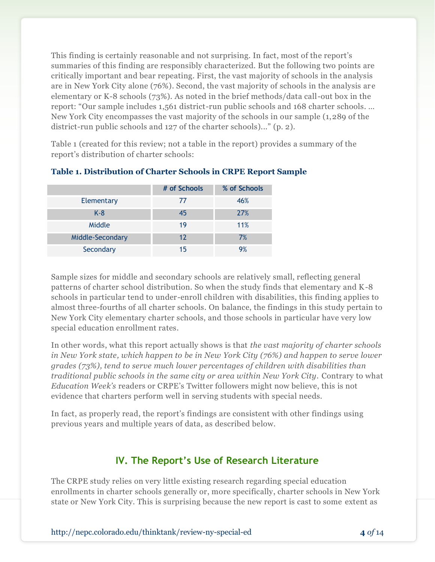This finding is certainly reasonable and not surprising. In fact, most of the report's summaries of this finding are responsibly characterized. But the following two points are critically important and bear repeating. First, the vast majority of schools in the analysis are in New York City alone (76%). Second, the vast majority of schools in the analysis ar e elementary or K-8 schools (73%). As noted in the brief methods/data call-out box in the report: "Our sample includes 1,561 district-run public schools and 168 charter schools. … New York City encompasses the vast majority of the schools in our sample (1,289 of the district-run public schools and 127 of the charter schools)..." (p. 2).

Table 1 (created for this review; not a table in the report) provides a summary of the report's distribution of charter schools:

|                  | # of Schools | % of Schools |
|------------------|--------------|--------------|
| Elementary       | 77           | 46%          |
| $K-8$            | 45           | 27%          |
| Middle           | 19           | 11%          |
| Middle-Secondary | 12           | 7%           |
| Secondary        | 15           | 9%           |

#### **Table 1. Distribution of Charter Schools in CRPE Report Sample**

Sample sizes for middle and secondary schools are relatively small, reflecting general patterns of charter school distribution. So when the study finds that elementary and K-8 schools in particular tend to under-enroll children with disabilities, this finding applies to almost three-fourths of all charter schools. On balance, the findings in this study pertain to New York City elementary charter schools, and those schools in particular have very low special education enrollment rates.

In other words, what this report actually shows is that *the vast majority of charter schools in New York state, which happen to be in New York City (76%) and happen to serve lower grades (73%), tend to serve much lower percentages of children with disabilities than traditional public schools in the same city or area within New York City.* Contrary to what *Education Week's* readers or CRPE's Twitter followers might now believe, this is not evidence that charters perform well in serving students with special needs.

In fact, as properly read, the report's findings are consistent with other findings using previous years and multiple years of data, as described below.

## **IV. The Report's Use of Research Literature**

The CRPE study relies on very little existing research regarding special education enrollments in charter schools generally or, more specifically, charter schools in New York state or New York City. This is surprising because the new report is cast to some extent as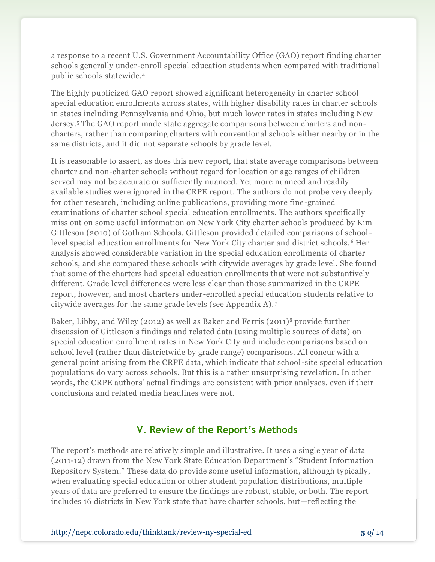a response to a recent U.S. Government Accountability Office (GAO) report finding charter schools generally under-enroll special education students when compared with traditional public schools statewide.<sup>4</sup>

The highly publicized GAO report showed significant heterogeneity in charter school special education enrollments across states, with higher disability rates in charter schools in states including Pennsylvania and Ohio, but much lower rates in states including New Jersey.<sup>5</sup> The GAO report made state aggregate comparisons between charters and noncharters, rather than comparing charters with conventional schools either nearby or in the same districts, and it did not separate schools by grade level.

It is reasonable to assert, as does this new report, that state average comparisons between charter and non-charter schools without regard for location or age ranges of children served may not be accurate or sufficiently nuanced. Yet more nuanced and readily available studies were ignored in the CRPE report. The authors do not probe very deeply for other research, including online publications, providing more fine-grained examinations of charter school special education enrollments. The authors specifically miss out on some useful information on New York City charter schools produced by Kim Gittleson (2010) of Gotham Schools. Gittleson provided detailed comparisons of schoollevel special education enrollments for New York City charter and district schools. <sup>6</sup> Her analysis showed considerable variation in the special education enrollments of charter schools, and she compared these schools with citywide averages by grade level. She found that some of the charters had special education enrollments that were not substantively different. Grade level differences were less clear than those summarized in the CRPE report, however, and most charters under-enrolled special education students relative to citywide averages for the same grade levels (see Appendix A). <sup>7</sup>

Baker, Libby, and Wiley (2012) as well as Baker and Ferris (2011)<sup>8</sup> provide further discussion of Gittleson's findings and related data (using multiple sources of data) on special education enrollment rates in New York City and include comparisons based on school level (rather than districtwide by grade range) comparisons. All concur with a general point arising from the CRPE data, which indicate that school-site special education populations do vary across schools. But this is a rather unsurprising revelation. In other words, the CRPE authors' actual findings are consistent with prior analyses, even if their conclusions and related media headlines were not.

### **V. Review of the Report's Methods**

The report's methods are relatively simple and illustrative. It uses a single year of data (2011-12) drawn from the New York State Education Department's "Student Information Repository System." These data do provide some useful information, although typically, when evaluating special education or other student population distributions, multiple years of data are preferred to ensure the findings are robust, stable, or both. The report includes 16 districts in New York state that have charter schools, but—reflecting the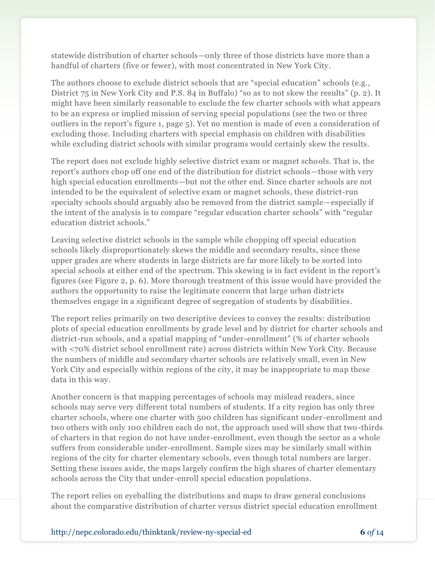statewide distribution of charter schools—only three of those districts have more than a handful of charters (five or fewer), with most concentrated in New York City.

The authors choose to exclude district schools that are "special education" schools (e.g., District 75 in New York City and P.S. 84 in Buffalo) "so as to not skew the results" (p. 2). It might have been similarly reasonable to exclude the few charter schools with what appears to be an express or implied mission of serving special populations (see the two or three outliers in the report's figure 1, page 5). Yet no mention is made of even a consideration of excluding those. Including charters with special emphasis on children with disabilities while excluding district schools with similar programs would certainly skew the results.

The report does not exclude highly selective district exam or magnet schools. That is, the report's authors chop off one end of the distribution for district schools—those with very high special education enrollments—but not the other end. Since charter schools are not intended to be the equivalent of selective exam or magnet schools, these district-run specialty schools should arguably also be removed from the district sample—especially if the intent of the analysis is to compare "regular education charter schools" with "regular education district schools."

Leaving selective district schools in the sample while chopping off special education schools likely disproportionately skews the middle and secondary results, since these upper grades are where students in large districts are far more likely to be sorted into special schools at either end of the spectrum. This skewing is in fact evident in the report's figures (see Figure 2, p. 6). More thorough treatment of this issue would have provided the authors the opportunity to raise the legitimate concern that large urban distr icts themselves engage in a significant degree of segregation of students by disabilities.

The report relies primarily on two descriptive devices to convey the results: distribution plots of special education enrollments by grade level and by district for charter schools and district-run schools, and a spatial mapping of "under-enrollment" (% of charter schools with <70% district school enrollment rate) across districts within New York City. Because the numbers of middle and secondary charter schools are relatively small, even in New York City and especially within regions of the city, it may be inappropriate to map these data in this way.

Another concern is that mapping percentages of schools may mislead readers, since schools may serve very different total numbers of students. If a city region has only three charter schools, where one charter with 500 children has significant under -enrollment and two others with only 100 children each do not, the approach used will show that two -thirds of charters in that region do not have under-enrollment, even though the sector as a whole suffers from considerable under-enrollment. Sample sizes may be similarly small within regions of the city for charter elementary schools, even though total numbers are larger. Setting these issues aside, the maps largely confirm the high shares of charter elementary schools across the City that under-enroll special education populations.

The report relies on eyeballing the distributions and maps to draw general conclusions about the comparative distribution of charter versus district special education enrollment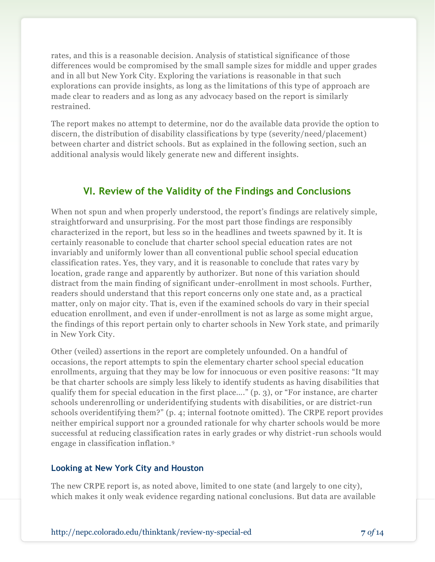rates, and this is a reasonable decision. Analysis of statistical significance of those differences would be compromised by the small sample sizes for middle and upper grades and in all but New York City. Exploring the variations is reasonable in that such explorations can provide insights, as long as the limitations of this type of approach are made clear to readers and as long as any advocacy based on the report is similarly restrained.

The report makes no attempt to determine, nor do the available data provide the option to discern, the distribution of disability classifications by type (severity/need/placement) between charter and district schools. But as explained in the following section, such an additional analysis would likely generate new and different insights.

# **VI. Review of the Validity of the Findings and Conclusions**

When not spun and when properly understood, the report's findings are relatively simple, straightforward and unsurprising. For the most part those findings are responsibly characterized in the report, but less so in the headlines and tweets spawned by it. It is certainly reasonable to conclude that charter school special education rates are not invariably and uniformly lower than all conventional public school special education classification rates. Yes, they vary, and it is reasonable to conclude that rates vary by location, grade range and apparently by authorizer. But none of this variation should distract from the main finding of significant under-enrollment in most schools. Further, readers should understand that this report concerns only one state and, as a practical matter, only on major city. That is, even if the examined schools do vary in their special education enrollment, and even if under-enrollment is not as large as some might argue, the findings of this report pertain only to charter schools in New York state, and primarily in New York City.

Other (veiled) assertions in the report are completely unfounded. On a handful of occasions, the report attempts to spin the elementary charter school special education enrollments, arguing that they may be low for innocuous or even positive reasons: "It may be that charter schools are simply less likely to identify students as having disabilities that qualify them for special education in the first place…." (p. 3), or "For instance, are charter schools underenrolling or underidentifying students with disabilities, or are district-run schools overidentifying them?" (p. 4; internal footnote omitted). The CRPE report provides neither empirical support nor a grounded rationale for why charter schools would be more successful at reducing classification rates in early grades or why district-run schools would engage in classification inflation.<sup>9</sup>

#### **Looking at New York City and Houston**

The new CRPE report is, as noted above, limited to one state (and largely to one city), which makes it only weak evidence regarding national conclusions. But data are available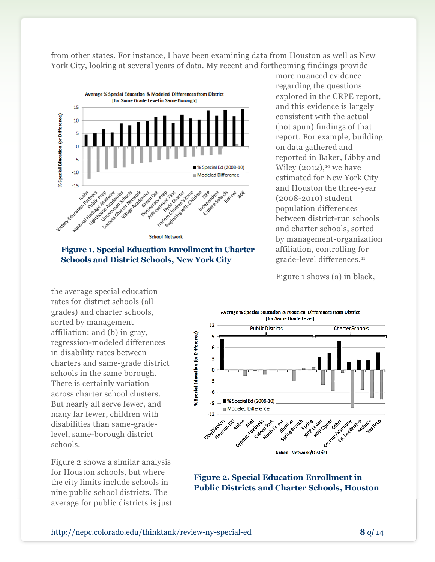from other states. For instance, I have been examining data from Houston as well as New York City, looking at several years of data. My recent and forthcoming findings provide



**Figure 1. Special Education Enrollmentin Charter Schools and District Schools, New York City**

the average special education rates for district schools (all grades) and charter schools, sorted by management affiliation; and (b) in gray, regression-modeled differences in disability rates between charters and same-grade district schools in the same borough. There is certainly variation across charter school clusters. But nearly all serve fewer, and many far fewer, children with disabilities than same-gradelevel, same-borough district schools.

Figure 2 shows a similar analysis for Houston schools, but where the city limits include schools in nine public school districts. The average for public districts is just more nuanced evidence regarding the questions explored in the CRPE report, and this evidence is largely consistent with the actual (not spun) findings of that report. For example, building on data gathered and reported in Baker, Libby and Wiley  $(2012)$ ,<sup>10</sup> we have estimated for New York City and Houston the three-year (2008-2010) student population differences between district-run schools and charter schools, sorted by management-organization affiliation, controlling for grade-level differences.<sup>11</sup>

Figure 1 shows (a) in black,



**Figure 2. Special Education Enrollment in Public Districts and Charter Schools, Houston**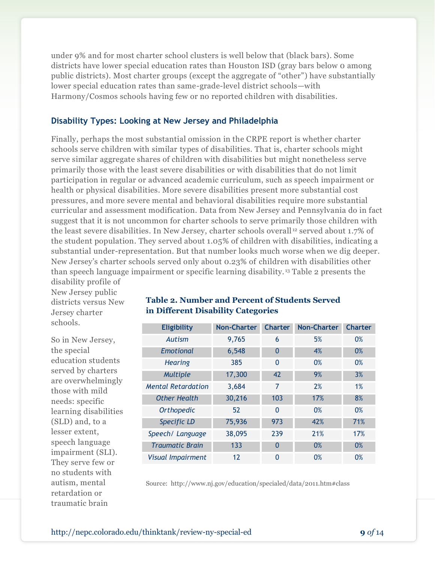under 9% and for most charter school clusters is well below that (black bars). Some districts have lower special education rates than Houston ISD (gray bars below 0 among public districts). Most charter groups (except the aggregate of "other") have substantially lower special education rates than same-grade-level district schools—with Harmony/Cosmos schools having few or no reported children with disabilities.

#### **Disability Types: Looking at New Jersey and Philadelphia**

Finally, perhaps the most substantial omission in the CRPE report is whether charter schools serve children with similar types of disabilities. That is, charter schools might serve similar aggregate shares of children with disabilities but might nonetheless serve primarily those with the least severe disabilities or with disabilities that do not limit participation in regular or advanced academic curriculum, such as speech impairment or health or physical disabilities. More severe disabilities present more substantial cost pressures, and more severe mental and behavioral disabilities require more substantial curricular and assessment modification. Data from New Jersey and Pennsylvania do in fact suggest that it is not uncommon for charter schools to serve primarily those children with the least severe disabilities. In New Jersey, charter schools overall<sup>12</sup> served about 1.7% of the student population. They served about 1.05% of children with disabilities, indicating a substantial under-representation. But that number looks much worse when we dig deeper. New Jersey's charter schools served only about 0.23% of children with disabilities other than speech language impairment or specific learning disability. <sup>13</sup> Table 2 presents the

disability profile of New Jersey public districts versus New Jersey charter schools.

So in New Jersey, the special education students served by charters are overwhelmingly those with mild needs: specific learning disabilities (SLD) and, to a lesser extent, speech language impairment (SLI). They serve few or no students with autism, mental retardation or traumatic brain

#### **Table 2. Number and Percent of Students Served in Different Disability Categories**

| <b>Eligibility</b>        | <b>Non-Charter</b> | <b>Charter</b> | <b>Non-Charter</b> | <b>Charter</b> |
|---------------------------|--------------------|----------------|--------------------|----------------|
| Autism                    | 9,765              | 6              | 5%                 | 0%             |
| <b>Emotional</b>          | 6,548              | 0              | 4%                 | 0%             |
| <b>Hearing</b>            | 385                | 0              | 0%                 | 0%             |
| Multiple                  | 17,300             | 42             | 9%                 | 3%             |
| <b>Mental Retardation</b> | 3,684              | 7              | 2%                 | 1%             |
| <b>Other Health</b>       | 30,216             | 103            | 17%                | 8%             |
| <b>Orthopedic</b>         | 52                 | 0              | 0%                 | 0%             |
| <b>Specific LD</b>        | 75,936             | 973            | 42%                | 71%            |
| Speech/ Language          | 38,095             | 239            | 21%                | 17%            |
| <b>Traumatic Brain</b>    | 133                | $\overline{0}$ | 0%                 | 0%             |
| <b>Visual Impairment</b>  | 12                 | 0              | 0%                 | 0%             |

Source:<http://www.nj.gov/education/specialed/data/2011.htm#class>

http://nepc.colorado.edu/thinktank/review-ny-special-ed **9** *of* 14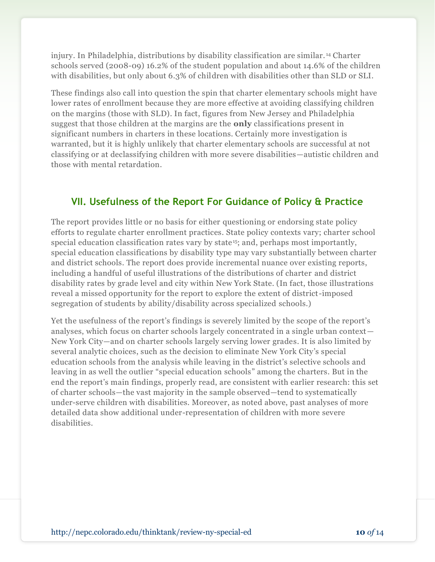injury. In Philadelphia, distributions by disability classification are similar. <sup>14</sup> Charter schools served (2008-09) 16.2% of the student population and about 14.6% of the children with disabilities, but only about 6.3% of children with disabilities other than SLD or SLI.

These findings also call into question the spin that charter elementary schools might have lower rates of enrollment because they are more effective at avoiding classifying children on the margins (those with SLD). In fact, figures from New Jersey and Philadelphia suggest that those children at the margins are the **only** classifications present in significant numbers in charters in these locations. Certainly more investigation is warranted, but it is highly unlikely that charter elementary schools are successful at not classifying or at declassifying children with more severe disabilities—autistic children and those with mental retardation.

# **VII. Usefulness of the Report For Guidance of Policy & Practice**

The report provides little or no basis for either questioning or endorsing state policy efforts to regulate charter enrollment practices. State policy contexts vary; charter school special education classification rates vary by state<sup>15</sup>; and, perhaps most importantly, special education classifications by disability type may vary substantially between charter and district schools. The report does provide incremental nuance over existing reports, including a handful of useful illustrations of the distributions of charter and district disability rates by grade level and city within New York State. (In fact, those illustrations reveal a missed opportunity for the report to explore the extent of district-imposed segregation of students by ability/disability across specialized schools.)

Yet the usefulness of the report's findings is severely limited by the scope of the report's analyses, which focus on charter schools largely concentrated in a single urban context— New York City—and on charter schools largely serving lower grades. It is also limited by several analytic choices, such as the decision to eliminate New York City's special education schools from the analysis while leaving in the district's selective schools and leaving in as well the outlier "special education schools" among the charters. But in the end the report's main findings, properly read, are consistent with earlier research: this set of charter schools—the vast majority in the sample observed—tend to systematically under-serve children with disabilities. Moreover, as noted above, past analyses of more detailed data show additional under-representation of children with more severe disabilities.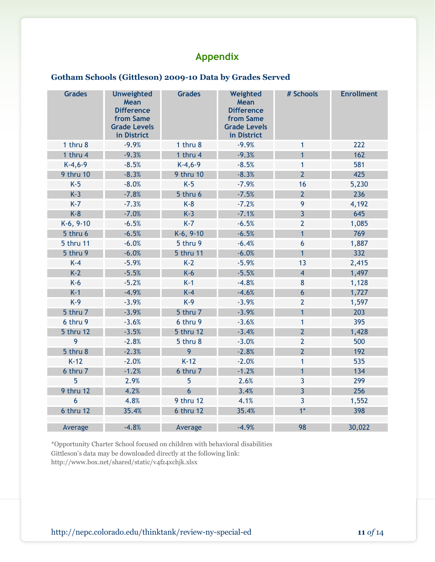# **Appendix**

#### **Gotham Schools (Gittleson) 2009-10 Data by Grades Served**

| <b>Grades</b> | <b>Unweighted</b><br>Mean<br><b>Difference</b><br>from Same<br><b>Grade Levels</b><br>in District | <b>Grades</b>  | Weighted<br>Mean<br><b>Difference</b><br>from Same<br><b>Grade Levels</b><br>in District | # Schools        | <b>Enrollment</b> |
|---------------|---------------------------------------------------------------------------------------------------|----------------|------------------------------------------------------------------------------------------|------------------|-------------------|
| 1 thru 8      | $-9.9%$                                                                                           | 1 thru 8       | $-9.9%$                                                                                  | $\mathbf{1}$     | 222               |
| 1 thru 4      | $-9.3%$                                                                                           | 1 thru 4       | $-9.3%$                                                                                  | $\overline{1}$   | 162               |
| $K-4, 6-9$    | $-8.5%$                                                                                           | $K-4, 6-9$     | $-8.5%$                                                                                  | $\mathbf{1}$     | 581               |
| 9 thru 10     | $-8.3%$                                                                                           | 9 thru 10      | $-8.3%$                                                                                  | $\overline{2}$   | 425               |
| $K-5$         | $-8.0%$                                                                                           | $K-5$          | $-7.9%$                                                                                  | 16               | 5,230             |
| $K-3$         | $-7.8%$                                                                                           | 5 thru 6       | $-7.5%$                                                                                  | $\overline{2}$   | 236               |
| $K-7$         | $-7.3%$                                                                                           | $K-8$          | $-7.2%$                                                                                  | 9                | 4,192             |
| $K-8$         | $-7.0%$                                                                                           | $K-3$          | $-7.1%$                                                                                  | $\overline{3}$   | 645               |
| $K-6, 9-10$   | $-6.5%$                                                                                           | $K-7$          | $-6.5%$                                                                                  | $\overline{2}$   | 1,085             |
| 5 thru 6      | $-6.5%$                                                                                           | $K-6, 9-10$    | $-6.5%$                                                                                  | $\mathbf{1}$     | 769               |
| 5 thru 11     | $-6.0%$                                                                                           | 5 thru 9       | $-6.4%$                                                                                  | $6\phantom{1}6$  | 1,887             |
| 5 thru 9      | $-6.0%$                                                                                           | 5 thru 11      | $-6.0%$                                                                                  | $\mathbf{1}$     | 332               |
| $K-4$         | $-5.9%$                                                                                           | $K-2$          | $-5.9%$                                                                                  | 13               | 2,415             |
| $K-2$         | $-5.5%$                                                                                           | $K-6$          | $-5.5%$                                                                                  | $\overline{4}$   | 1,497             |
| $K-6$         | $-5.2%$                                                                                           | $K-1$          | $-4.8%$                                                                                  | $\bf 8$          | 1,128             |
| $K-1$         | $-4.9%$                                                                                           | $K-4$          | $-4.6%$                                                                                  | $\boldsymbol{6}$ | 1,727             |
| $K-9$         | $-3.9%$                                                                                           | $K-9$          | $-3.9%$                                                                                  | $\overline{2}$   | 1,597             |
| 5 thru 7      | $-3.9%$                                                                                           | 5 thru 7       | $-3.9%$                                                                                  | $\mathbf{1}$     | 203               |
| 6 thru 9      | $-3.6%$                                                                                           | 6 thru 9       | $-3.6%$                                                                                  | $\mathbf{1}$     | 395               |
| 5 thru 12     | $-3.5%$                                                                                           | 5 thru 12      | $-3.4%$                                                                                  | $\overline{2}$   | 1,428             |
| 9             | $-2.8%$                                                                                           | 5 thru 8       | $-3.0%$                                                                                  | $\overline{2}$   | 500               |
| 5 thru 8      | $-2.3%$                                                                                           | 9              | $-2.8%$                                                                                  | $\overline{2}$   | 192               |
| $K-12$        | $-2.0%$                                                                                           | $K-12$         | $-2.0%$                                                                                  | $\mathbf{1}$     | 535               |
| 6 thru 7      | $-1.2%$                                                                                           | 6 thru 7       | $-1.2%$                                                                                  | $\mathbf{1}$     | 134               |
| 5             | 2.9%                                                                                              | 5              | 2.6%                                                                                     | 3                | 299               |
| 9 thru 12     | 4.2%                                                                                              | $6\phantom{a}$ | 3.4%                                                                                     | $\overline{3}$   | 256               |
| 6             | 4.8%                                                                                              | 9 thru 12      | 4.1%                                                                                     | $\overline{3}$   | 1,552             |
| 6 thru 12     | 35.4%                                                                                             | 6 thru 12      | 35.4%                                                                                    | $1*$             | 398               |
| Average       | $-4.8%$                                                                                           | Average        | $-4.9%$                                                                                  | 98               | 30,022            |

\*Opportunity Charter School focused on children with behavioral disabilities Gittleson's data may be downloaded directly at the following link:

<http://www.box.net/shared/static/v4fz4xchjk.xlsx>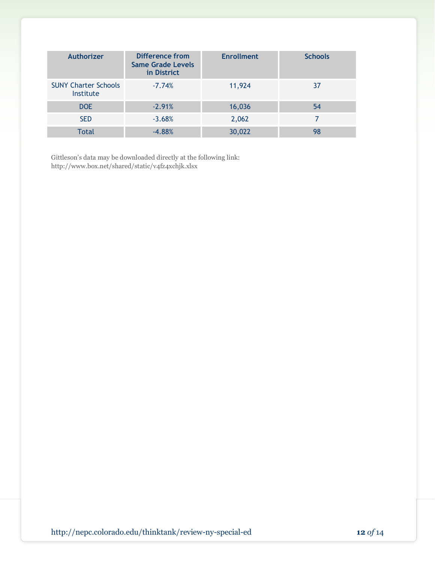| <b>Authorizer</b>                        | Difference from<br><b>Same Grade Levels</b><br>in District | <b>Enrollment</b> | <b>Schools</b> |
|------------------------------------------|------------------------------------------------------------|-------------------|----------------|
| <b>SUNY Charter Schools</b><br>Institute | $-7.74%$                                                   | 11,924            | 37             |
| DOE                                      | $-2.91%$                                                   | 16,036            | 54             |
| <b>SED</b>                               | $-3.68%$                                                   | 2,062             |                |
| Total                                    | $-4.88%$                                                   | 30,022            | 98             |

Gittleson's data may be downloaded directly at the following link: <http://www.box.net/shared/static/v4fz4xchjk.xlsx>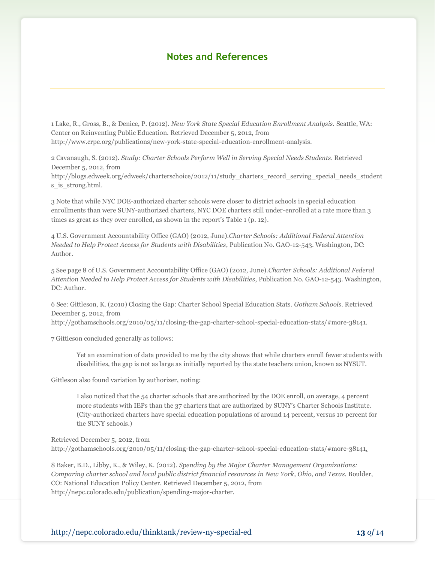### **Notes and References**

1 Lake, R., Gross, B., & Denice, P. (2012). *New York State Special Education Enrollment Analysis.* Seattle, WA: Center on Reinventing Public Education. Retrieved December 5, 2012, from http://www.crpe.org/publications/new-york-state-special-education-enrollment-analysis.

2 Cavanaugh, S. (2012). *Study: Charter Schools Perform Well in Serving Special Needs Students*. Retrieved December 5, 2012, from

http://blogs.edweek.org/edweek/charterschoice/2012/11/study\_charters\_record\_serving\_special\_needs\_student s is strong.html.

3 Note that while NYC DOE-authorized charter schools were closer to district schools in special education enrollments than were SUNY-authorized charters, NYC DOE charters still under-enrolled at a rate more than 3 times as great as they over enrolled, as shown in the report's Table 1 (p. 12).

4 U.S. Government Accountability Office (GAO) (2012, June).*Charter Schools: Additional Federal Attention Needed to Help Protect Access for Students with Disabilities*, Publication No. GAO-12-543. Washington, DC: Author.

5 See page 8 of U.S. Government Accountability Office (GAO) (2012, June).*Charter Schools: Additional Federal Attention Needed to Help Protect Access for Students with Disabilities*, Publication No. GAO-12-543. Washington, DC: Author.

6 See: Gittleson, K. (2010) Closing the Gap: Charter School Special Education Stats. *Gotham Schools.* Retrieved December 5, 2012, from

http://gothamschools.org/2010/05/11/closing-the-gap-charter-school-special-education-stats/#more-38141.

7 Gittleson concluded generally as follows:

Yet an examination of data provided to me by the city shows that while charters enroll fewer students with disabilities, the gap is not as large as [initially reported](http://gothamschools.org/2010/04/27/state-teachers-union-makes-its-case-for-charter-school-reform/) by the state teachers union, known as NYSUT.

Gittleson also found variation by authorizer, noting:

I also noticed that the 54 charter schools that are authorized by the DOE enroll, on average, 4 percent more students with IEPs than the 37 charters that are authorized by SUNY's Charter Schools Institute. (City-authorized charters have special education populations of around 14 percent, versus 10 percent for the SUNY schools.)

Retrieved December 5, 2012, from http://gothamschools.org/2010/05/11/closing-the-gap-charter-school-special-education-stats/#more-38141.

8 Baker, B.D., Libby, K., & Wiley, K. (2012). *Spending by the Major Charter Management Organizations: Comparing charter school and local public district financial resources in New York, Ohio, and Texas.* Boulder, CO: National Education Policy Center. Retrieved December 5, 2012, from http://nepc.colorado.edu/publication/spending-major-charter.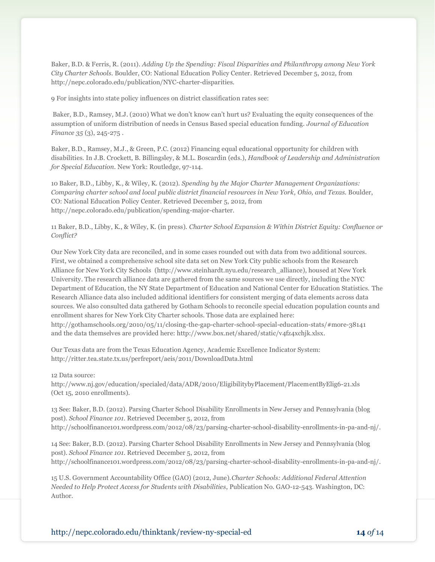Baker, B.D. & Ferris, R. (2011). *Adding Up the Spending: Fiscal Disparities and Philanthropy among New York City Charter Schools*. Boulder, CO: National Education Policy Center. Retrieved December 5, 2012, from http://nepc.colorado.edu/publication/NYC-charter-disparities.

9 For insights into state policy influences on district classification rates see:

Baker, B.D., Ramsey, M.J. (2010) What we don't know can't hurt us? Evaluating the equity consequences of the assumption of uniform distribution of needs in Census Based special education funding. *Journal of Education Finance 35* (3), 245-275 .

Baker, B.D., Ramsey, M.J., & Green, P.C. (2012) Financing equal educational opportunity for children with disabilities. In J.B. Crockett, B. Billingsley, & M.L. Boscardin (eds.), *Handbook of Leadership and Administration for Special Education*. New York: Routledge, 97-114.

10 Baker, B.D., Libby, K., & Wiley, K. (2012). *Spending by the Major Charter Management Organizations: Comparing charter school and local public district financial resources in New York, Ohio, and Texas.* Boulder, CO: National Education Policy Center. Retrieved December 5, 2012, from http://nepc.colorado.edu/publication/spending-major-charter.

11 Baker, B.D., Libby, K., & Wiley, K. (in press). *Charter School Expansion & Within District Equity: Confluence or Conflict?*

Our New York City data are reconciled, and in some cases rounded out with data from two additional sources. First, we obtained a comprehensive school site data set on New York City public schools from the Research Alliance for New York City Schools (http://www.steinhardt.nyu.edu/research\_alliance), housed at New York University. The research alliance data are gathered from the same sources we use directly, including the NYC Department of Education, the NY State Department of Education and National Center for Education Statistics. The Research Alliance data also included additional identifiers for consistent merging of data elements across data sources. We also consulted data gathered by Gotham Schools to reconcile special education population counts and enrollment shares for New York City Charter schools. Those data are explained here: http://gothamschools.org/2010/05/11/closing-the-gap-charter-school-special-education-stats/#more-38141 and the data themselves are provided here: http://www.box.net/shared/static/v4fz4xchjk.xlsx.

Our Texas data are from the Texas Education Agency, Academic Excellence Indicator System: http://ritter.tea.state.tx.us/perfreport/aeis/2011/DownloadData.html

12 Data source:

http://www.nj.gov/education/specialed/data/ADR/2010/EligibilitybyPlacement/PlacementByElig6-21.xls (Oct 15, 2010 enrollments).

13 See: Baker, B.D. (2012). Parsing Charter School Disability Enrollments in New Jersey and Pennsylvania (blog post). *School Finance 101.* Retrieved December 5, 2012, from http://schoolfinance101.wordpress.com/2012/08/23/parsing-charter-school-disability-enrollments-in-pa-and-nj/.

14 See: Baker, B.D. (2012). Parsing Charter School Disability Enrollments in New Jersey and Pennsylvania (blog post). *School Finance 101.* Retrieved December 5, 2012, from http://schoolfinance101.wordpress.com/2012/08/23/parsing-charter-school-disability-enrollments-in-pa-and-nj/.

15 U.S. Government Accountability Office (GAO) (2012, June).*Charter Schools: Additional Federal Attention Needed to Help Protect Access for Students with Disabilities*, Publication No. GAO-12-543. Washington, DC: Author.